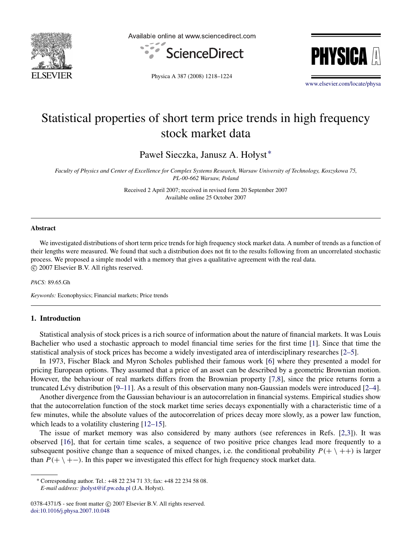

Available online at www.sciencedirect.com





Physica A 387 (2008) 1218–1224

[www.elsevier.com/locate/physa](http://www.elsevier.com/locate/physa)

## Statistical properties of short term price trends in high frequency stock market data

Paweł Sieczka, Janusz A. Hołyst[∗](#page-0-0)

*Faculty of Physics and Center of Excellence for Complex Systems Research, Warsaw University of Technology, Koszykowa 75, PL-00-662 Warsaw, Poland*

> Received 2 April 2007; received in revised form 20 September 2007 Available online 25 October 2007

#### Abstract

We investigated distributions of short term price trends for high frequency stock market data. A number of trends as a function of their lengths were measured. We found that such a distribution does not fit to the results following from an uncorrelated stochastic process. We proposed a simple model with a memory that gives a qualitative agreement with the real data. c 2007 Elsevier B.V. All rights reserved.

*PACS:* 89.65.Gh

*Keywords:* Econophysics; Financial markets; Price trends

## 1. Introduction

Statistical analysis of stock prices is a rich source of information about the nature of financial markets. It was Louis Bachelier who used a stochastic approach to model financial time series for the first time [\[1\]](#page--1-0). Since that time the statistical analysis of stock prices has become a widely investigated area of interdisciplinary researches [\[2–5\]](#page--1-1).

In 1973, Fischer Black and Myron Scholes published their famous work [\[6\]](#page--1-2) where they presented a model for pricing European options. They assumed that a price of an asset can be described by a geometric Brownian motion. However, the behaviour of real markets differs from the Brownian property [\[7](#page--1-3)[,8\]](#page--1-4), since the price returns form a truncated Lévy distribution  $[9-11]$ . As a result of this observation many non-Gaussian models were introduced  $[2-4]$ .

Another divergence from the Gaussian behaviour is an autocorrelation in financial systems. Empirical studies show that the autocorrelation function of the stock market time series decays exponentially with a characteristic time of a few minutes, while the absolute values of the autocorrelation of prices decay more slowly, as a power law function, which leads to a volatility clustering [\[12–15\]](#page--1-6).

The issue of market memory was also considered by many authors (see references in Refs. [\[2](#page--1-1)[,3\]](#page--1-7)). It was observed [\[16\]](#page--1-8), that for certain time scales, a sequence of two positive price changes lead more frequently to a subsequent positive change than a sequence of mixed changes, i.e. the conditional probability  $P(+ \ ++)$  is larger than  $P(+ \ +)-$ ). In this paper we investigated this effect for high frequency stock market data.

<span id="page-0-0"></span><sup>∗</sup> Corresponding author. Tel.: +48 22 234 71 33; fax: +48 22 234 58 08. *E-mail address:* [jholyst@if.pw.edu.pl](mailto:jholyst@if.pw.edu.pl) (J.A. Hołyst).

<sup>0378-4371/\$ -</sup> see front matter © 2007 Elsevier B.V. All rights reserved. [doi:10.1016/j.physa.2007.10.048](http://dx.doi.org/10.1016/j.physa.2007.10.048)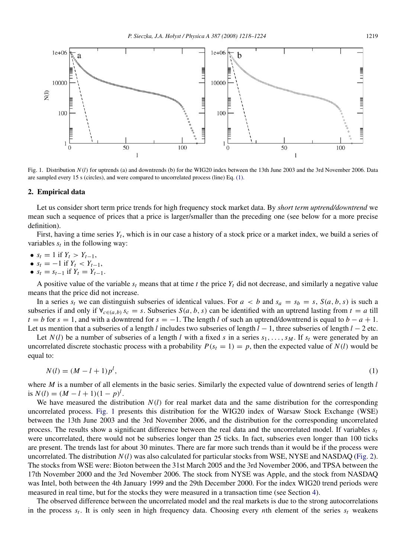<span id="page-1-1"></span>

Fig. 1. Distribution  $N(l)$  for uptrends (a) and downtrends (b) for the WIG20 index between the 13th June 2003 and the 3rd November 2006. Data are sampled every 15 s (circles), and were compared to uncorrelated process (line) Eq. [\(1\).](#page-1-0)

### 2. Empirical data

Let us consider short term price trends for high frequency stock market data. By *short term uptrend/downtrend* we mean such a sequence of prices that a price is larger/smaller than the preceding one (see below for a more precise definition).

First, having a time series  $Y_t$ , which is in our case a history of a stock price or a market index, we build a series of variables  $s_t$  in the following way:

- $s_t = 1$  if  $Y_t > Y_{t-1}$ ,
- $s_t = -1$  if  $Y_t < Y_{t-1}$ ,
- $s_t = s_{t-1}$  if  $Y_t = Y_{t-1}$ .

A positive value of the variable  $s_t$  means that at time *t* the price  $Y_t$  did not decrease, and similarly a negative value means that the price did not increase.

In a series  $s_t$  we can distinguish subseries of identical values. For  $a < b$  and  $s_a = s_b = s$ ,  $S(a, b, s)$  is such a subseries if and only if  $\forall_{c \in (a,b)} s_c = s$ . Subseries  $S(a, b, s)$  can be identified with an uptrend lasting from  $t = a$  till *t* = *b* for *s* = 1, and with a downtrend for *s* = −1. The length *l* of such an uptrend/downtrend is equal to *b* − *a* + 1. Let us mention that a subseries of a length *l* includes two subseries of length *l* − 1, three subseries of length *l* − 2 etc.

Let  $N(l)$  be a number of subseries of a length *l* with a fixed *s* in a series  $s_1, \ldots, s_M$ . If  $s_t$  were generated by an uncorrelated discrete stochastic process with a probability  $P(s_t = 1) = p$ , then the expected value of  $N(l)$  would be equal to:

<span id="page-1-0"></span>
$$
N(l) = (M - l + 1)p^{l},
$$
\n(1)

where *M* is a number of all elements in the basic series. Similarly the expected value of downtrend series of length *l* is  $N(l) = (M - l + 1)(1 - p)^l$ .

We have measured the distribution *N*(*l*) for real market data and the same distribution for the corresponding uncorrelated process. [Fig. 1](#page-1-1) presents this distribution for the WIG20 index of Warsaw Stock Exchange (WSE) between the 13th June 2003 and the 3rd November 2006, and the distribution for the corresponding uncorrelated process. The results show a significant difference between the real data and the uncorrelated model. If variables  $s_t$ were uncorrelated, there would not be subseries longer than 25 ticks. In fact, subseries even longer than 100 ticks are present. The trends last for about 30 minutes. There are far more such trends than it would be if the process were uncorrelated. The distribution  $N(l)$  was also calculated for particular stocks from WSE, NYSE and NASDAQ [\(Fig. 2\)](#page--1-9). The stocks from WSE were: Bioton between the 31st March 2005 and the 3rd November 2006, and TPSA between the 17th November 2000 and the 3rd November 2006. The stock from NYSE was Apple, and the stock from NASDAQ was Intel, both between the 4th January 1999 and the 29th December 2000. For the index WIG20 trend periods were measured in real time, but for the stocks they were measured in a transaction time (see Section [4\)](#page--1-10).

The observed difference between the uncorrelated model and the real markets is due to the strong autocorrelations in the process *s<sup>t</sup>* . It is only seen in high frequency data. Choosing every *n*th element of the series *s<sup>t</sup>* weakens